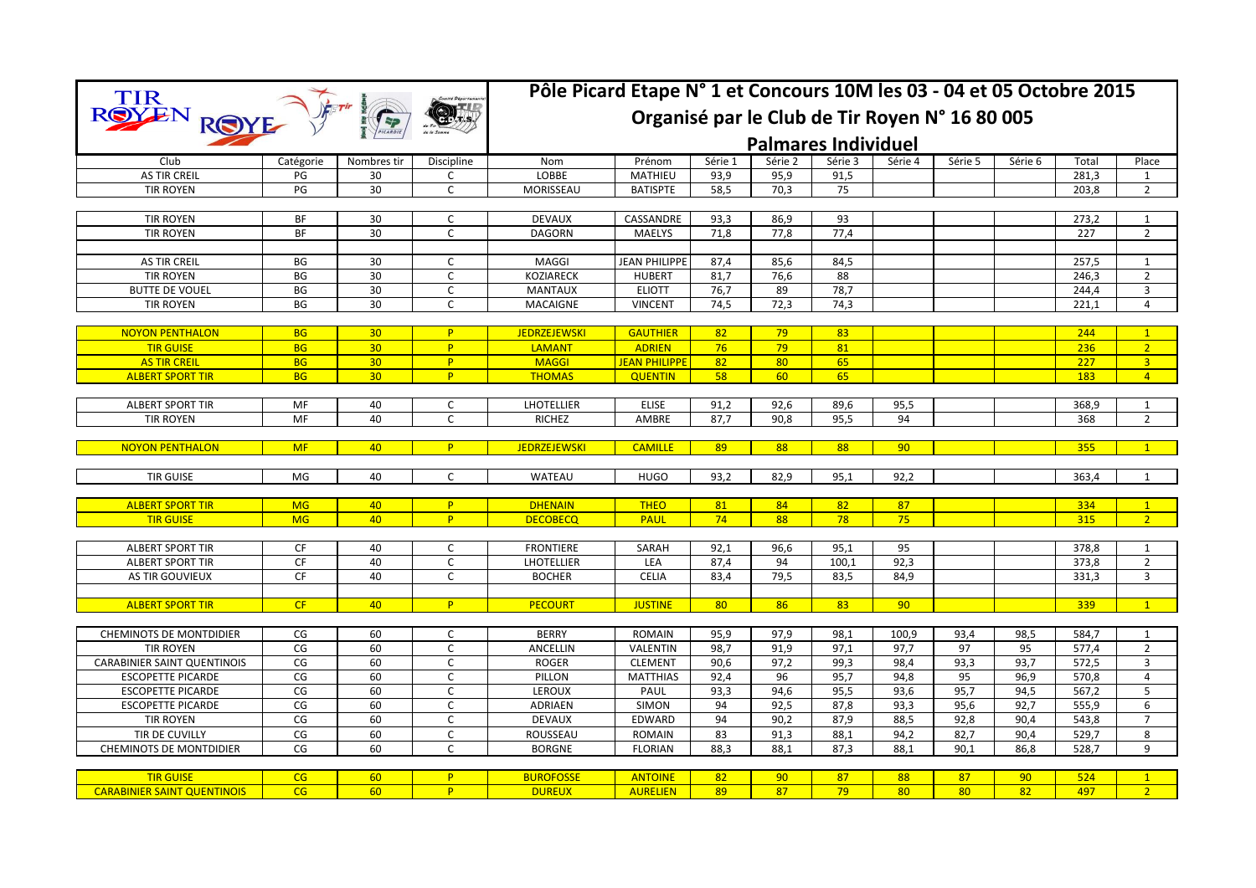| <b>TIR</b>                         |                                                |                 |              | Pôle Picard Etape N° 1 et Concours 10M les 03 - 04 et 05 Octobre 2015 |                      |         |         |                            |         |         |         |       |                |  |
|------------------------------------|------------------------------------------------|-----------------|--------------|-----------------------------------------------------------------------|----------------------|---------|---------|----------------------------|---------|---------|---------|-------|----------------|--|
| <b>ROYE</b>                        | Organisé par le Club de Tir Royen N° 16 80 005 |                 |              |                                                                       |                      |         |         |                            |         |         |         |       |                |  |
|                                    |                                                |                 |              |                                                                       |                      |         |         | <b>Palmares Individuel</b> |         |         |         |       |                |  |
| Club                               | Catégorie                                      | Nombres tir     | Discipline   | Nom                                                                   | Prénom               | Série 1 | Série 2 | Série 3                    | Série 4 | Série 5 | Série 6 | Total | Place          |  |
| <b>AS TIR CREIL</b>                | PG                                             | 30              | $\mathsf{C}$ | <b>LOBBE</b>                                                          | MATHIEU              | 93,9    | 95,9    | 91,5                       |         |         |         | 281.3 | $\mathbf{1}$   |  |
| <b>TIR ROYEN</b>                   | PG                                             | 30              | $\mathsf{C}$ | MORISSEAU                                                             | <b>BATISPTE</b>      | 58,5    | 70,3    | 75                         |         |         |         | 203,8 | $\overline{2}$ |  |
| <b>TIR ROYEN</b>                   | ΒF                                             | 30              | C            | <b>DEVAUX</b>                                                         | CASSANDRE            | 93,3    | 86,9    | 93                         |         |         |         | 273,2 | 1              |  |
| <b>TIR ROYEN</b>                   | BF                                             | 30              | $\mathsf{C}$ | <b>DAGORN</b>                                                         | <b>MAELYS</b>        | 71,8    | 77,8    | 77,4                       |         |         |         | 227   | $\overline{2}$ |  |
|                                    |                                                |                 |              |                                                                       |                      |         |         |                            |         |         |         |       |                |  |
| <b>AS TIR CREIL</b>                | BG                                             | 30              | C            | MAGGI                                                                 | <b>JEAN PHILIPPE</b> | 87,4    | 85,6    | 84,5                       |         |         |         | 257,5 | $\mathbf{1}$   |  |
| <b>TIR ROYEN</b>                   | BG                                             | 30              | C            | <b>KOZIARECK</b>                                                      | <b>HUBERT</b>        | 81,7    | 76,6    | 88                         |         |         |         | 246,3 | $\overline{2}$ |  |
| <b>BUTTE DE VOUEL</b>              | BG                                             | 30              | C            | <b>MANTAUX</b>                                                        | <b>ELIOTT</b>        | 76,7    | 89      | 78,7                       |         |         |         | 244,4 | 3              |  |
| <b>TIR ROYEN</b>                   | BG                                             | 30              | $\mathsf{C}$ | <b>MACAIGNE</b>                                                       | <b>VINCENT</b>       | 74,5    | 72,3    | 74,3                       |         |         |         | 221,1 | $\overline{4}$ |  |
|                                    |                                                |                 |              |                                                                       |                      |         |         |                            |         |         |         |       |                |  |
| <b>NOYON PENTHALON</b>             | <b>BG</b>                                      | 30 <sub>2</sub> | P.           | <b>JEDRZEJEWSKI</b>                                                   | <b>GAUTHIER</b>      | 82      | 79      | 83                         |         |         |         | 244   | $\mathbf{1}$   |  |
| <b>TIR GUISE</b>                   | <b>BG</b>                                      | 30              | P.           | <b>LAMANT</b>                                                         | <b>ADRIEN</b>        | 76      | 79      | 81                         |         |         |         | 236   | 2 <sup>1</sup> |  |
| <b>AS TIR CREIL</b>                | <b>BG</b>                                      | 30              | P.           | <b>MAGGI</b>                                                          | <b>JEAN PHILIPPE</b> | 82      | 80      | 65                         |         |         |         | 227   | $\overline{3}$ |  |
| <b>ALBERT SPORT TIR</b>            | <b>BG</b>                                      | 30              | P            | <b>THOMAS</b>                                                         | <b>QUENTIN</b>       | 58      | 60      | 65                         |         |         |         | 183   | $\overline{4}$ |  |
| <b>ALBERT SPORT TIR</b>            | MF                                             | 40              | $\mathsf{C}$ | <b>LHOTELLIER</b>                                                     | <b>ELISE</b>         | 91,2    | 92,6    | 89,6                       | 95,5    |         |         | 368,9 | 1              |  |
| <b>TIR ROYEN</b>                   | MF                                             | 40              | $\mathsf{C}$ | <b>RICHEZ</b>                                                         | AMBRE                | 87,7    | 90,8    | 95,5                       | 94      |         |         | 368   | $\overline{2}$ |  |
|                                    |                                                |                 |              |                                                                       |                      |         |         |                            |         |         |         |       |                |  |
| <b>NOYON PENTHALON</b>             | <b>MF</b>                                      | 40              | P.           | <b>JEDRZEJEWSKI</b>                                                   | <b>CAMILLE</b>       | 89      | 88      | 88                         | 90      |         |         | 355   | $\mathbf{1}$   |  |
|                                    |                                                |                 |              |                                                                       |                      |         |         |                            |         |         |         |       |                |  |
| <b>TIR GUISE</b>                   | MG                                             | 40              | $\mathsf{C}$ | WATEAU                                                                | <b>HUGO</b>          | 93,2    | 82,9    | 95,1                       | 92,2    |         |         | 363,4 | $\mathbf{1}$   |  |
|                                    |                                                |                 |              |                                                                       |                      |         |         |                            |         |         |         |       |                |  |
| <b>ALBERT SPORT TIR</b>            | <b>MG</b>                                      | 40              | P            | <b>DHENAIN</b>                                                        | <b>THEO</b>          | 81      | 84      | 82                         | 87      |         |         | 334   | $\overline{1}$ |  |
| <b>TIR GUISE</b>                   | <b>MG</b>                                      | 40              | P            | <b>DECOBECQ</b>                                                       | <b>PAUL</b>          | 74      | 88      | 78                         | 75      |         |         | 315   | 2 <sup>2</sup> |  |
| <b>ALBERT SPORT TIR</b>            | CF                                             | 40              | C            | <b>FRONTIERE</b>                                                      | SARAH                | 92,1    | 96,6    | 95,1                       | 95      |         |         | 378,8 | 1              |  |
| <b>ALBERT SPORT TIR</b>            | CF                                             | 40              | $\mathsf C$  | LHOTELLIER                                                            | LEA                  | 87,4    | 94      | 100,1                      | 92,3    |         |         | 373,8 | $\overline{2}$ |  |
| AS TIR GOUVIEUX                    | <b>CF</b>                                      | 40              | $\mathsf{C}$ | <b>BOCHER</b>                                                         | <b>CELIA</b>         | 83,4    | 79,5    | 83,5                       | 84,9    |         |         | 331,3 | $\overline{3}$ |  |
|                                    |                                                |                 |              |                                                                       |                      |         |         |                            |         |         |         |       |                |  |
| <b>ALBERT SPORT TIR</b>            | CF                                             | 40              | P            | <b>PECOURT</b>                                                        | <b>JUSTINE</b>       | 80      | 86      | 83                         | 90      |         |         | 339   | $\overline{1}$ |  |
|                                    |                                                |                 |              |                                                                       |                      |         |         |                            |         |         |         |       |                |  |
| CHEMINOTS DE MONTDIDIER            | CG                                             | 60              | $\mathsf C$  | <b>BERRY</b>                                                          | <b>ROMAIN</b>        | 95,9    | 97,9    | 98,1                       | 100,9   | 93,4    | 98,5    | 584,7 | 1              |  |
| <b>TIR ROYEN</b>                   | CG                                             | 60              | $\mathsf C$  | ANCELLIN                                                              | <b>VALENTIN</b>      | 98,7    | 91,9    | 97,1                       | 97,7    | 97      | 95      | 577,4 | $\overline{2}$ |  |
| <b>CARABINIER SAINT QUENTINOIS</b> | CG                                             | 60              | $\mathsf{C}$ | <b>ROGER</b>                                                          | <b>CLEMENT</b>       | 90,6    | 97,2    | 99,3                       | 98,4    | 93,3    | 93,7    | 572,5 | $\overline{3}$ |  |
| <b>ESCOPETTE PICARDE</b>           | CG                                             | 60              | $\mathsf C$  | PILLON                                                                | <b>MATTHIAS</b>      | 92,4    | 96      | 95,7                       | 94,8    | 95      | 96,9    | 570,8 | 4              |  |
| <b>ESCOPETTE PICARDE</b>           | CG                                             | 60              | $\mathsf{C}$ | LEROUX                                                                | PAUL                 | 93,3    | 94,6    | 95,5                       | 93,6    | 95,7    | 94,5    | 567,2 | 5              |  |
| <b>ESCOPETTE PICARDE</b>           | CG                                             | 60              | $\mathsf{C}$ | ADRIAEN                                                               | SIMON                | 94      | 92,5    | 87,8                       | 93,3    | 95,6    | 92,7    | 555,9 | 6              |  |
| <b>TIR ROYEN</b>                   | CG                                             | 60              | $\mathsf C$  | <b>DEVAUX</b>                                                         | EDWARD               | 94      | 90,2    | 87,9                       | 88,5    | 92,8    | 90,4    | 543,8 | $\overline{7}$ |  |
| <b>TIR DE CUVILLY</b>              | CG                                             | 60              | $\mathsf{C}$ | ROUSSEAU                                                              | <b>ROMAIN</b>        | 83      | 91,3    | 88,1                       | 94,2    | 82,7    | 90,4    | 529,7 | 8              |  |
| <b>CHEMINOTS DE MONTDIDIER</b>     | CG                                             | 60              | C            | <b>BORGNE</b>                                                         | <b>FLORIAN</b>       | 88,3    | 88,1    | 87,3                       | 88,1    | 90,1    | 86,8    | 528,7 | 9              |  |
|                                    |                                                |                 |              |                                                                       |                      |         |         |                            |         |         |         |       |                |  |
| <b>TIR GUISE</b>                   | CG                                             | 60              | P            | <b>BUROFOSSE</b>                                                      | <b>ANTOINE</b>       | 82      | 90      | 87                         | 88      | 87      | 90      | 524   | $\mathbf{1}$   |  |
| <b>CARABINIER SAINT QUENTINOIS</b> | CG                                             | 60              | P            | <b>DUREUX</b>                                                         | <b>AURELIEN</b>      | 89      | 87      | 79                         | 80      | 80      | 82      | 497   | 2 <sup>2</sup> |  |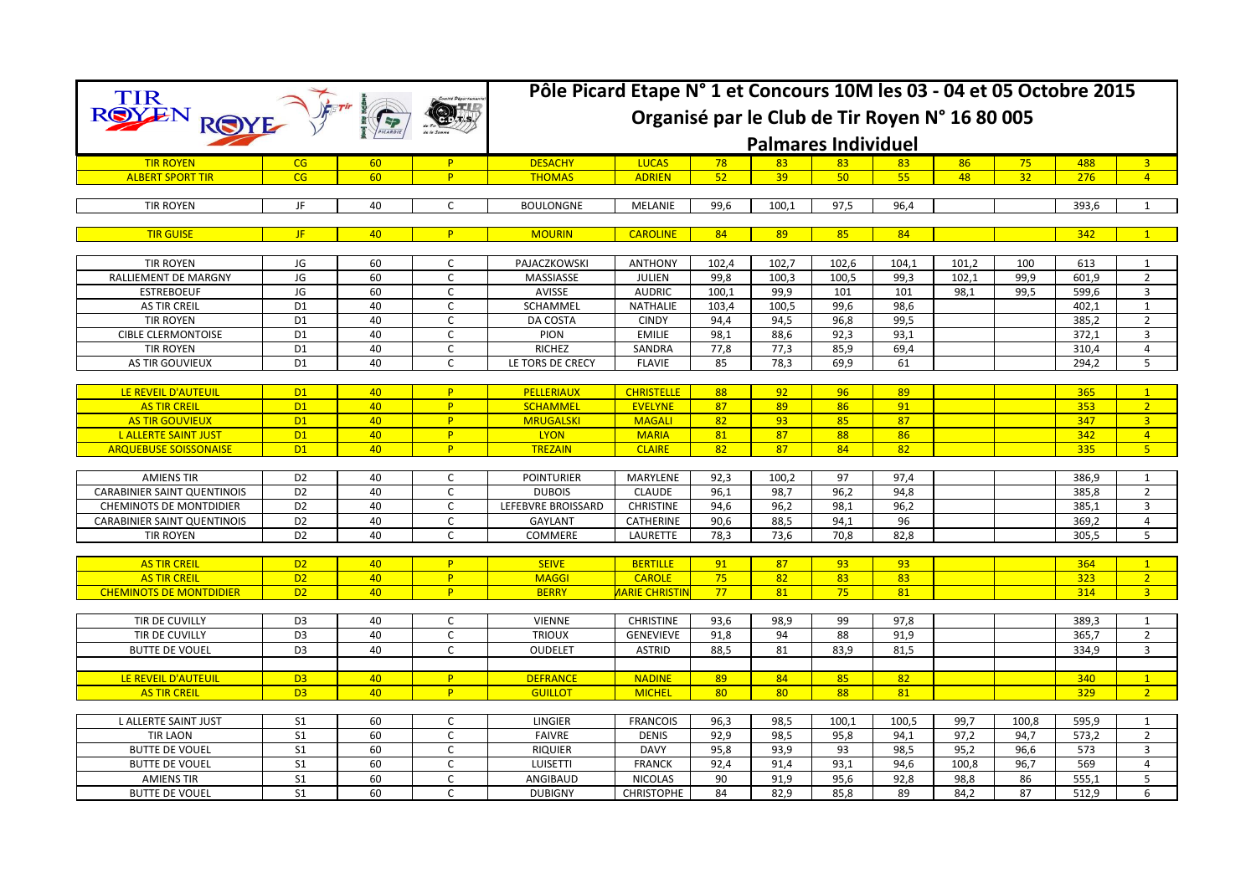| <b>TIR</b>                         | Pôle Picard Etape N° 1 et Concours 10M les 03 - 04 et 05 Octobre 2015 |    |                |                    |                             |       |       |       |       |       |       |       |                         |  |
|------------------------------------|-----------------------------------------------------------------------|----|----------------|--------------------|-----------------------------|-------|-------|-------|-------|-------|-------|-------|-------------------------|--|
|                                    | Organisé par le Club de Tir Royen N° 16 80 005                        |    |                |                    |                             |       |       |       |       |       |       |       |                         |  |
|                                    |                                                                       |    |                |                    | <b>Palmares Individuel</b>  |       |       |       |       |       |       |       |                         |  |
| <b>TIR ROYEN</b>                   | CG                                                                    | 60 | P              | <b>DESACHY</b>     | <b>LUCAS</b>                | 78    | 83    | 83    | 83    | 86    | 75    | 488   | $\overline{\mathbf{3}}$ |  |
| <b>ALBERT SPORT TIR</b>            | CG                                                                    | 60 | P              | <b>THOMAS</b>      | <b>ADRIEN</b>               | 52    | 39    | 50    | 55    | 48    | 32    | 276   | $\overline{4}$          |  |
|                                    |                                                                       |    |                |                    |                             |       |       |       |       |       |       |       |                         |  |
| <b>TIR ROYEN</b>                   | JF                                                                    | 40 | $\mathsf{C}$   | <b>BOULONGNE</b>   | MELANIE                     | 99,6  | 100,1 | 97,5  | 96,4  |       |       | 393,6 | 1                       |  |
| <b>TIR GUISE</b>                   | JF.                                                                   | 40 | P.             | <b>MOURIN</b>      | <b>CAROLINE</b>             | 84    | 89    | 85    | 84    |       |       | 342   | $\overline{1}$          |  |
|                                    |                                                                       |    |                |                    |                             |       |       |       |       |       |       |       |                         |  |
| <b>TIR ROYEN</b>                   | JG                                                                    | 60 | C              | PAJACZKOWSKI       | <b>ANTHONY</b>              | 102.4 | 102.7 | 102,6 | 104.1 | 101,2 | 100   | 613   | 1                       |  |
| RALLIEMENT DE MARGNY               | JG                                                                    | 60 | $\mathsf{C}$   | MASSIASSE          | <b>JULIEN</b>               | 99,8  | 100.3 | 100.5 | 99,3  | 102.1 | 99,9  | 601.9 | $\overline{2}$          |  |
| <b>ESTREBOEUF</b>                  | JG                                                                    | 60 | C              | AVISSE             | <b>AUDRIC</b>               | 100,1 | 99,9  | 101   | 101   | 98.1  | 99,5  | 599,6 | $\overline{3}$          |  |
| <b>AS TIR CREIL</b>                | D <sub>1</sub>                                                        | 40 | $\mathsf{C}$   | SCHAMMEL           | NATHALIE                    | 103.4 | 100.5 | 99,6  | 98,6  |       |       | 402.1 | $\mathbf{1}$            |  |
| <b>TIR ROYEN</b>                   | D <sub>1</sub>                                                        | 40 | $\mathsf{C}$   | DA COSTA           | <b>CINDY</b>                | 94,4  | 94,5  | 96,8  | 99,5  |       |       | 385,2 | $\overline{2}$          |  |
| <b>CIBLE CLERMONTOISE</b>          | D <sub>1</sub>                                                        | 40 | $\mathsf{C}$   | <b>PION</b>        | <b>EMILIE</b>               | 98,1  | 88,6  | 92,3  | 93,1  |       |       | 372,1 | $\overline{3}$          |  |
| <b>TIR ROYEN</b>                   | D <sub>1</sub>                                                        | 40 | $\mathsf{C}$   | <b>RICHEZ</b>      | SANDRA                      | 77,8  | 77,3  | 85,9  | 69,4  |       |       | 310,4 | 4                       |  |
| AS TIR GOUVIEUX                    | D <sub>1</sub>                                                        | 40 | $\mathsf{C}$   | LE TORS DE CRECY   | <b>FLAVIE</b>               | 85    | 78,3  | 69,9  | 61    |       |       | 294,2 | 5                       |  |
|                                    |                                                                       |    |                |                    |                             |       |       |       |       |       |       |       |                         |  |
| LE REVEIL D'AUTEUIL                | D1                                                                    | 40 | P              | <b>PELLERIAUX</b>  | <b>CHRISTELLE</b>           | 88    | 92    | 96    | 89    |       |       | 365   | $\mathbf{1}$            |  |
| <b>AS TIR CREIL</b>                | D1                                                                    | 40 | P              | <b>SCHAMMEL</b>    | <b>EVELYNE</b>              | 87    | 89    | 86    | 91    |       |       | 353   | 2 <sup>2</sup>          |  |
| <b>AS TIR GOUVIEUX</b>             | D1                                                                    | 40 | P              | <b>MRUGALSKI</b>   | <b>MAGALI</b>               | 82    | 93    | 85    | 87    |       |       | 347   | 3 <sup>1</sup>          |  |
| L ALLERTE SAINT JUST               | D1                                                                    | 40 | P              | <b>LYON</b>        | <b>MARIA</b>                | 81    | 87    | 88    | 86    |       |       | 342   | $\overline{4}$          |  |
| <b>ARQUEBUSE SOISSONAISE</b>       | D1                                                                    | 40 | P              | <b>TREZAIN</b>     | <b>CLAIRE</b>               | 82    | 87    | 84    | 82    |       |       | 335   | 5 <sup>1</sup>          |  |
|                                    |                                                                       |    |                |                    |                             |       |       |       |       |       |       |       |                         |  |
| <b>AMIENS TIR</b>                  | D <sub>2</sub>                                                        | 40 | C              | <b>POINTURIER</b>  | MARYLENE                    | 92,3  | 100.2 | 97    | 97,4  |       |       | 386,9 | $\overline{1}$          |  |
| <b>CARABINIER SAINT QUENTINOIS</b> | D <sub>2</sub>                                                        | 40 | $\mathsf{C}$   | <b>DUBOIS</b>      | <b>CLAUDE</b>               | 96.1  | 98,7  | 96,2  | 94,8  |       |       | 385,8 | $\overline{2}$          |  |
| <b>CHEMINOTS DE MONTDIDIER</b>     | D <sub>2</sub>                                                        | 40 | C              | LEFEBVRE BROISSARD | <b>CHRISTINE</b>            | 94,6  | 96,2  | 98,1  | 96,2  |       |       | 385,1 | 3                       |  |
| <b>CARABINIER SAINT QUENTINOIS</b> | D <sub>2</sub>                                                        | 40 | $\mathsf{C}$   | <b>GAYLANT</b>     | <b>CATHERINE</b>            | 90.6  | 88,5  | 94.1  | 96    |       |       | 369,2 | $\overline{4}$          |  |
| <b>TIR ROYEN</b>                   | D <sub>2</sub>                                                        | 40 | C              | COMMERE            | LAURETTE                    | 78,3  | 73,6  | 70,8  | 82,8  |       |       | 305,5 | 5                       |  |
|                                    |                                                                       |    |                |                    |                             |       |       |       |       |       |       |       |                         |  |
| <b>AS TIR CREIL</b>                | D <sub>2</sub>                                                        | 40 | P              | <b>SEIVE</b>       | <b>BERTILLE</b>             | 91    | 87    | 93    | 93    |       |       | 364   | $\mathbf{1}$            |  |
| <b>AS TIR CREIL</b>                | D <sub>2</sub>                                                        | 40 | P              | <b>MAGGI</b>       | <b>CAROLE</b>               | 75    | 82    | 83    | 83    |       |       | 323   | 2                       |  |
| <b>CHEMINOTS DE MONTDIDIER</b>     | D <sub>2</sub>                                                        | 40 | <b>P</b>       | <b>BERRY</b>       | <mark>MARIE CHRISTIN</mark> | 77    | 81    | 75    | 81    |       |       | 314   | $\overline{3}$          |  |
|                                    |                                                                       |    |                |                    |                             |       |       |       |       |       |       |       |                         |  |
| TIR DE CUVILLY                     | D <sub>3</sub>                                                        | 40 | C              | <b>VIENNE</b>      | <b>CHRISTINE</b>            | 93,6  | 98,9  | 99    | 97,8  |       |       | 389,3 | $\mathbf{1}$            |  |
| TIR DE CUVILLY                     | D <sub>3</sub>                                                        | 40 | $\mathsf{C}$   | <b>TRIOUX</b>      | <b>GENEVIEVE</b>            | 91,8  | 94    | 88    | 91,9  |       |       | 365,7 | $\overline{2}$          |  |
| <b>BUTTE DE VOUEL</b>              | D <sub>3</sub>                                                        | 40 | $\mathsf{C}$   | <b>OUDELET</b>     | <b>ASTRID</b>               | 88.5  | 81    | 83.9  | 81.5  |       |       | 334.9 | 3                       |  |
|                                    |                                                                       |    |                |                    |                             |       |       |       |       |       |       |       |                         |  |
| LE REVEIL D'AUTEUIL                | D <sub>3</sub>                                                        | 40 | P              | <b>DEFRANCE</b>    | <b>NADINE</b>               | 89    | 84    | 85    | 82    |       |       | 340   | $\mathbf{1}$            |  |
| <b>AS TIR CREIL</b>                | D <sub>3</sub>                                                        | 40 | P              | <b>GUILLOT</b>     | <b>MICHEL</b>               | 80    | 80    | 88    | 81    |       |       | 329   | $\overline{2}$          |  |
|                                    |                                                                       |    |                |                    |                             |       |       |       |       |       |       |       |                         |  |
| L ALLERTE SAINT JUST               | S <sub>1</sub>                                                        | 60 | $\mathsf{C}$   | <b>LINGIER</b>     | <b>FRANCOIS</b>             | 96,3  | 98.5  | 100.1 | 100,5 | 99,7  | 100,8 | 595,9 | 1                       |  |
| <b>TIR LAON</b>                    | S <sub>1</sub>                                                        | 60 | $\mathsf{C}$   | <b>FAIVRE</b>      | <b>DENIS</b>                | 92,9  | 98,5  | 95,8  | 94,1  | 97,2  | 94,7  | 573,2 | $\overline{2}$          |  |
| <b>BUTTE DE VOUEL</b>              | S <sub>1</sub>                                                        | 60 | $\mathsf{C}$   | <b>RIQUIER</b>     | <b>DAVY</b>                 | 95,8  | 93,9  | 93    | 98,5  | 95,2  | 96,6  | 573   | 3                       |  |
| <b>BUTTE DE VOUEL</b>              | S <sub>1</sub>                                                        | 60 | $\mathsf{C}$   | <b>LUISETTI</b>    | <b>FRANCK</b>               | 92,4  | 91,4  | 93,1  | 94,6  | 100,8 | 96,7  | 569   | 4                       |  |
| <b>AMIENS TIR</b>                  | $\overline{\mathsf{S1}}$                                              | 60 | $\overline{C}$ | ANGIBAUD           | <b>NICOLAS</b>              | 90    | 91,9  | 95,6  | 92,8  | 98,8  | 86    | 555,1 | 5                       |  |
| <b>BUTTE DE VOUEL</b>              | S <sub>1</sub>                                                        | 60 | $\mathsf C$    | <b>DUBIGNY</b>     | <b>CHRISTOPHE</b>           | 84    | 82,9  | 85,8  | 89    | 84,2  | 87    | 512,9 | 6                       |  |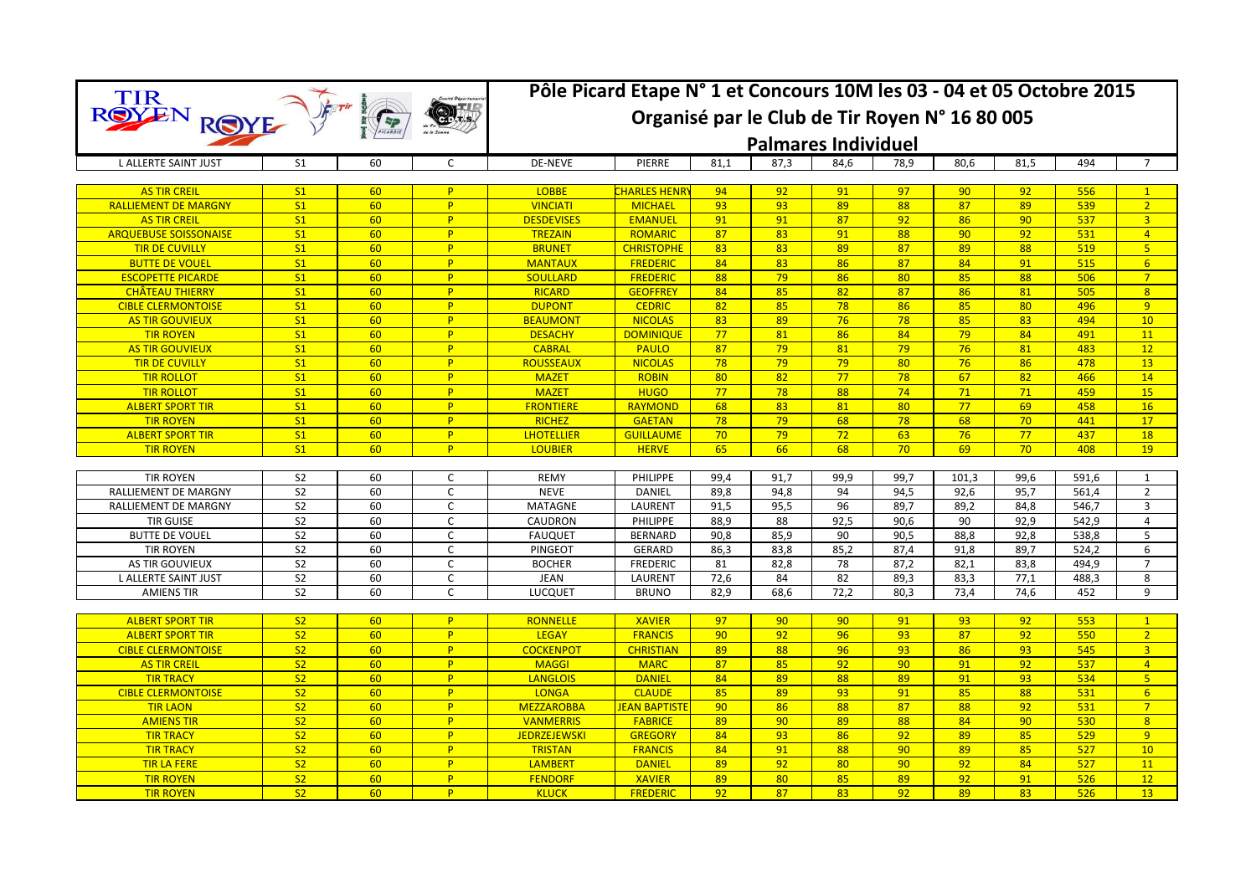|                                          |                                  |          |              | Pôle Picard Etape N° 1 et Concours 10M les 03 - 04 et 05 Octobre 2015 |                            |              |                 |            |                 |              |                 |                |                                  |  |
|------------------------------------------|----------------------------------|----------|--------------|-----------------------------------------------------------------------|----------------------------|--------------|-----------------|------------|-----------------|--------------|-----------------|----------------|----------------------------------|--|
| TIR<br>ROYEN                             |                                  |          |              | Organisé par le Club de Tir Royen N° 16 80 005                        |                            |              |                 |            |                 |              |                 |                |                                  |  |
| ROYE                                     |                                  |          |              |                                                                       |                            |              |                 |            |                 |              |                 |                |                                  |  |
|                                          |                                  |          |              | <b>Palmares Individuel</b>                                            |                            |              |                 |            |                 |              |                 |                |                                  |  |
| <b>L ALLERTE SAINT JUST</b>              | S <sub>1</sub>                   | 60       | C            | <b>DE-NEVE</b>                                                        | PIERRE                     | 81,1         | 87,3            | 84,6       | 78,9            | 80,6         | 81,5            | 494            | 7                                |  |
|                                          |                                  |          |              |                                                                       |                            |              |                 |            |                 |              |                 |                |                                  |  |
| <b>AS TIR CREIL</b>                      | S <sub>1</sub>                   | 60       | P.           | <b>LOBBE</b>                                                          | <b>CHARLES HENRY</b>       | 94           | 92 <sub>2</sub> | 91         | 97              | 90           | 92              | 556            | $\mathbf{1}$                     |  |
| <b>RALLIEMENT DE MARGNY</b>              | S <sub>1</sub>                   | 60       | P            | <b>VINCIATI</b>                                                       | <b>MICHAEL</b>             | 93           | 93              | 89         | 88              | 87           | 89              | 539            | 2                                |  |
| <b>AS TIR CREIL</b>                      | S <sub>1</sub>                   | 60       | P            | <b>DESDEVISES</b>                                                     | <b>EMANUEL</b>             | 91           | 91              | 87         | 92              | 86           | 90              | 537            | $\overline{3}$                   |  |
| <b>ARQUEBUSE SOISSONAISE</b>             | S <sub>1</sub>                   | 60       | P            | <b>TREZAIN</b>                                                        | <b>ROMARIC</b>             | 87           | 83              | 91         | 88              | 90           | 92              | 531            | $\overline{4}$                   |  |
| <b>TIR DE CUVILLY</b>                    | S <sub>1</sub>                   | 60       | P            | <b>BRUNET</b>                                                         | <b>CHRISTOPHE</b>          | 83           | 83              | 89         | 87              | 89           | 88              | 519            | 5 <sub>o</sub>                   |  |
| <b>BUTTE DE VOUEL</b>                    | S <sub>1</sub>                   | 60       | P.           | <b>MANTAUX</b>                                                        | <b>FREDERIC</b>            | 84           | 83              | 86         | 87              | 84           | 91              | 515            | 6 <sup>1</sup>                   |  |
| <b>ESCOPETTE PICARDE</b>                 | S <sub>1</sub>                   | 60       | P            | <b>SOULLARD</b>                                                       | <b>FREDERIC</b>            | 88           | 79              | 86         | 80              | 85           | 88              | 506            | $\overline{7}$                   |  |
| <b>CHÂTEAU THIERRY</b>                   | S <sub>1</sub>                   | 60       | P.           | <b>RICARD</b>                                                         | <b>GEOFFREY</b>            | 84           | 85              | 82         | 87              | 86           | 81              | 505            | 8                                |  |
| <b>CIBLE CLERMONTOISE</b>                | S <sub>1</sub>                   | 60       | P.           | <b>DUPONT</b>                                                         | <b>CEDRIC</b>              | 82           | 85              | 78         | 86              | 85           | 80              | 496            | 9                                |  |
| <b>AS TIR GOUVIEUX</b>                   | S <sub>1</sub>                   | 60       | P            | <b>BEAUMONT</b>                                                       | <b>NICOLAS</b>             | 83           | 89              | 76         | 78              | 85           | 83              | 494            | 10                               |  |
| <b>TIR ROYEN</b>                         | S <sub>1</sub>                   | 60       | P            | <b>DESACHY</b>                                                        | <b>DOMINIQUE</b>           | 77           | 81              | 86         | 84              | 79           | 84              | 491            | 11                               |  |
| <b>AS TIR GOUVIEUX</b>                   | S <sub>1</sub>                   | 60       | P            | <b>CABRAL</b>                                                         | <b>PAULO</b>               | 87           | 79              | 81         | 79              | 76           | 81              | 483            | 12                               |  |
| <b>TIR DE CUVILLY</b>                    | S <sub>1</sub>                   | 60       | P            | <b>ROUSSEAUX</b>                                                      | <b>NICOLAS</b>             | 78           | 79              | 79         | 80              | 76           | 86              | 478            | 13                               |  |
| <b>TIR ROLLOT</b>                        | S <sub>1</sub>                   | 60       | P            | <b>MAZET</b>                                                          | <b>ROBIN</b>               | 80           | 82              | 77         | 78              | 67           | 82              | 466            | 14                               |  |
| <b>TIR ROLLOT</b>                        | S <sub>1</sub>                   | 60       | P            | <b>MAZET</b>                                                          | <b>HUGO</b>                | 77           | 78              | 88         | 74              | 71           | 71              | 459            | 15                               |  |
| <b>ALBERT SPORT TIR</b>                  | S <sub>1</sub>                   | 60       | P            | <b>FRONTIERE</b>                                                      | <b>RAYMOND</b>             | 68           | 83              | 81         | 80              | 77           | 69              | 458            | 16                               |  |
| <b>TIR ROYEN</b>                         | S <sub>1</sub>                   | 60       | P            | <b>RICHEZ</b>                                                         | <b>GAETAN</b>              | 78           | 79              | 68         | 78              | 68           | 70              | 441            | 17                               |  |
| <b>ALBERT SPORT TIR</b>                  | S <sub>1</sub>                   | 60       | P            | <b>LHOTELLIER</b>                                                     | <b>GUILLAUME</b>           | 70           | 79              | 72         | 63              | 76           | 77              | 437            | 18                               |  |
| <b>TIR ROYEN</b>                         | S <sub>1</sub>                   | 60       | P            | <b>LOUBIER</b>                                                        | <b>HERVE</b>               | 65           | 66              | 68         | 70 <sup>°</sup> | 69           | 70 <sup>°</sup> | 408            | 19                               |  |
|                                          | S <sub>2</sub>                   |          | $\mathsf C$  |                                                                       |                            |              |                 |            |                 |              |                 |                |                                  |  |
| <b>TIR ROYEN</b>                         | S <sub>2</sub>                   | 60<br>60 | $\mathsf{C}$ | <b>REMY</b><br><b>NEVE</b>                                            | <b>PHILIPPE</b>            | 99,4         | 91,7            | 99,9       | 99,7            | 101,3        | 99,6            | 591,6          | $\mathbf{1}$                     |  |
| RALLIEMENT DE MARGNY                     |                                  | 60       | $\mathsf{C}$ | <b>MATAGNE</b>                                                        | <b>DANIEL</b>              | 89,8<br>91,5 | 94,8<br>95,5    | 94<br>96   | 94,5<br>89,7    | 92,6         | 95,7<br>84,8    | 561,4<br>546,7 | $\overline{2}$<br>$\overline{3}$ |  |
| RALLIEMENT DE MARGNY<br><b>TIR GUISE</b> | S <sub>2</sub><br>S <sub>2</sub> | 60       | $\mathsf{C}$ | CAUDRON                                                               | LAURENT<br><b>PHILIPPE</b> | 88,9         | 88              |            |                 | 89,2<br>90   | 92,9            | 542,9          | $\overline{4}$                   |  |
| <b>BUTTE DE VOUEL</b>                    | S <sub>2</sub>                   | 60       | C            |                                                                       | <b>BERNARD</b>             | 90,8         | 85,9            | 92,5<br>90 | 90,6            |              |                 | 538,8          | 5                                |  |
| <b>TIR ROYEN</b>                         | S <sub>2</sub>                   | 60       | $\mathsf{C}$ | <b>FAUQUET</b>                                                        | <b>GERARD</b>              | 86,3         | 83,8            | 85,2       | 90,5<br>87,4    | 88,8<br>91,8 | 92,8<br>89,7    | 524,2          | 6                                |  |
| AS TIR GOUVIEUX                          | S <sub>2</sub>                   | 60       | $\mathsf{C}$ | <b>PINGEOT</b><br><b>BOCHER</b>                                       | <b>FREDERIC</b>            | 81           | 82,8            | 78         | 87,2            | 82,1         | 83,8            | 494,9          | $\overline{7}$                   |  |
| <b>L ALLERTE SAINT JUST</b>              | S <sub>2</sub>                   | 60       | $\mathsf C$  | <b>JEAN</b>                                                           | LAURENT                    | 72,6         | 84              | 82         | 89,3            | 83,3         | 77,1            | 488,3          | 8                                |  |
| <b>AMIENS TIR</b>                        | S <sub>2</sub>                   | 60       | $\mathsf{C}$ | <b>LUCQUET</b>                                                        | <b>BRUNO</b>               | 82,9         | 68,6            | 72,2       | 80,3            | 73,4         | 74,6            | 452            | 9                                |  |
|                                          |                                  |          |              |                                                                       |                            |              |                 |            |                 |              |                 |                |                                  |  |
| <b>ALBERT SPORT TIR</b>                  | S <sub>2</sub>                   | 60       | P            | <b>RONNELLE</b>                                                       | <b>XAVIER</b>              | 97           | 90 <sub>o</sub> | 90         | 91              | 93           | 92              | 553            | $\mathbf{1}$                     |  |
| <b>ALBERT SPORT TIR</b>                  | S <sub>2</sub>                   | 60       | P            | <b>LEGAY</b>                                                          | <b>FRANCIS</b>             | 90           | 92              | 96         | 93              | 87           | 92              | 550            | $\overline{2}$                   |  |
| <b>CIBLE CLERMONTOISE</b>                | S <sub>2</sub>                   | 60       | P.           | <b>COCKENPOT</b>                                                      | <b>CHRISTIAN</b>           | 89           | 88              | 96         | 93              | 86           | 93              | 545            | $\overline{3}$                   |  |
| <b>AS TIR CREIL</b>                      | S <sub>2</sub>                   | 60       | P.           | <b>MAGGI</b>                                                          | <b>MARC</b>                | 87           | 85              | 92         | 90              | 91           | 92              | 537            | $\overline{4}$                   |  |
| <b>TIR TRACY</b>                         | S <sub>2</sub>                   | 60       | <b>P</b>     | <b>LANGLOIS</b>                                                       | <b>DANIEL</b>              | 84           | 89              | 88         | 89              | 91           | 93              | 534            | 5 <sup>1</sup>                   |  |
| <b>CIBLE CLERMONTOISE</b>                | S <sub>2</sub>                   | 60       | P.           | <b>LONGA</b>                                                          | <b>CLAUDE</b>              | 85           | 89              | 93         | 91              | 85           | 88              | 531            | 6 <sup>1</sup>                   |  |
| <b>TIR LAON</b>                          | S <sub>2</sub>                   | 60       | P            | <b>MEZZAROBBA</b>                                                     | <b>JEAN BAPTISTE</b>       | 90           | 86              | 88         | 87              | 88           | 92              | 531            | $7^{\circ}$                      |  |
| <b>AMIENS TIR</b>                        | S <sub>2</sub>                   | 60       | P            | <b>VANMERRIS</b>                                                      | <b>FABRICE</b>             | 89           | 90 <sup>°</sup> | 89         | 88              | 84           | 90              | 530            | 8 <sup>°</sup>                   |  |
| <b>TIR TRACY</b>                         | S <sub>2</sub>                   | 60       | P            | <b>JEDRZEJEWSKI</b>                                                   | <b>GREGORY</b>             | 84           | 93              | 86         | 92              | 89           | 85              | 529            | 9                                |  |
| <b>TIR TRACY</b>                         | S <sub>2</sub>                   | 60       | P            | <b>TRISTAN</b>                                                        | <b>FRANCIS</b>             | 84           | 91              | 88         | 90              | 89           | 85              | 527            | 10                               |  |
| <b>TIR LA FERE</b>                       | S <sub>2</sub>                   | 60       | P            | <b>LAMBERT</b>                                                        | <b>DANIEL</b>              | 89           | 92              | 80         | 90              | 92           | 84              | 527            | 11                               |  |
| <b>TIR ROYEN</b>                         | S <sub>2</sub>                   | 60       | P            | <b>FENDORF</b>                                                        | <b>XAVIER</b>              | 89           | 80              | 85         | 89              | 92           | 91              | 526            | 12                               |  |
| <b>TIR ROYEN</b>                         | S <sub>2</sub>                   | 60       | P.           | <b>KLUCK</b>                                                          | <b>FREDERIC</b>            | 92           | 87              | 83         | 92              | 89           | 83              | 526            | 13                               |  |
|                                          |                                  |          |              |                                                                       |                            |              |                 |            |                 |              |                 |                |                                  |  |